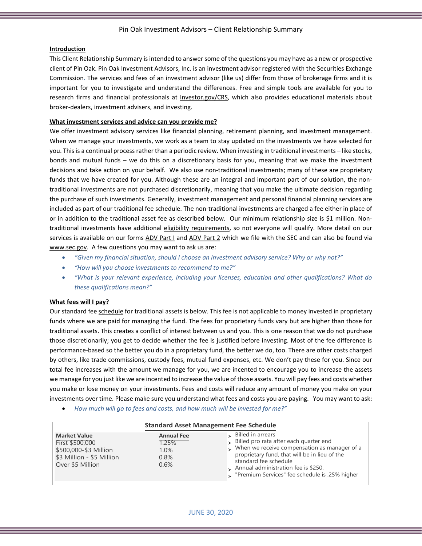## Pin Oak Investment Advisors – Client Relationship Summary

## **Introduction**

This Client Relationship Summary is intended to answer some of the questions you may have as a new or prospective client of Pin Oak. Pin Oak Investment Advisors, Inc. is an investment advisor registered with the Securities Exchange Commission. The services and fees of an investment advisor (like us) differ from those of brokerage firms and it is important for you to investigate and understand the differences. Free and simple tools are available for you to research firms and financial professionals at **Investor.gov/CRS**, which also provides educational materials about broker-dealers, investment advisers, and investing.

## **What investment services and advice can you provide me?**

We offer investment advisory services like financial planning, retirement planning, and investment management. When we manage your investments, we work as a team to stay updated on the investments we have selected for you. This is a continual process rather than a periodic review. When investing in traditional investments – like stocks, bonds and mutual funds – we do this on a discretionary basis for you, meaning that we make the investment decisions and take action on your behalf. We also use non-traditional investments; many of these are proprietary funds that we have created for you. Although these are an integral and important part of our solution, the nontraditional investments are not purchased discretionarily, meaning that you make the ultimate decision regarding the purchase of such investments. Generally, investment management and personal financial planning services are included as part of our traditional fee schedule. The non-traditional investments are charged a fee either in place of or in addition to the traditional asset fee as described below. Our minimum relationship size is \$1 million. Nontraditional investments have additional [eligibility requirements,](http://www.pinoak.com/privatefundeligibility/) so not everyone will qualify. More detail on our services is available on our forms [ADV Part I](https://reports.adviserinfo.sec.gov/reports/ADV/105550/PDF/105550.pdf) and [ADV Part 2](https://files.adviserinfo.sec.gov/IAPD/Content/Common/crd_iapd_Brochure.aspx?BRCHR_VRSN_ID=639583) which we file with the SEC and can also be found via [www.sec.gov.](http://www.sec.gov/) A few questions you may want to ask us are:

- *"Given my financial situation, should I choose an investment advisory service? Why or why not?"*
- *"How will you choose investments to recommend to me?"*
- *"What is your relevant experience, including your licenses, education and other qualifications? What do these qualifications mean?"*

#### **What fees will I pay?**

Our standard fee [schedule](http://www.pinoak.com/fees/) for traditional assets is below. This fee is not applicable to money invested in proprietary funds where we are paid for managing the fund. The fees for proprietary funds vary but are higher than those for traditional assets. This creates a conflict of interest between us and you. This is one reason that we do not purchase those discretionarily; you get to decide whether the fee is justified before investing. Most of the fee difference is performance-based so the better you do in a proprietary fund, the better we do, too. There are other costs charged by others, like trade commissions, custody fees, mutual fund expenses, etc. We don't pay these for you. Since our total fee increases with the amount we manage for you, we are incented to encourage you to increase the assets we manage for you just like we are incented to increase the value of those assets. You will pay fees and costs whether you make or lose money on your investments. Fees and costs will reduce any amount of money you make on your investments over time. Please make sure you understand what fees and costs you are paying. You may want to ask:

• *How much will go to fees and costs, and how much will be invested for me?"*

|                                                                                                                  | <b>Standard Asset Management Fee Schedule</b>         |                                                                                                                                                                                                                                                                                                              |
|------------------------------------------------------------------------------------------------------------------|-------------------------------------------------------|--------------------------------------------------------------------------------------------------------------------------------------------------------------------------------------------------------------------------------------------------------------------------------------------------------------|
| <b>Market Value</b><br>First \$500,000<br>\$500,000-\$3 Million<br>\$3 Million - \$5 Million<br>Over \$5 Million | <b>Annual Fee</b><br>1.25%<br>$1.0\%$<br>0.8%<br>0.6% | $\sim$ Billed in arrears<br>Billed pro rata after each quarter end<br>$\rightarrow$ When we receive compensation as manager of a<br>proprietary fund, that will be in lieu of the<br>standard fee schedule<br>$\sim$ Annual administration fee is \$250.<br>> "Premium Services" fee schedule is .25% higher |